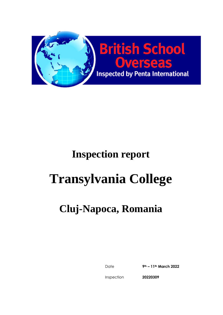

# **Transylvania College**

# **Cluj-Napoca, Romania**

Date **9th – 11th March 2022**

Inspection

**20220309**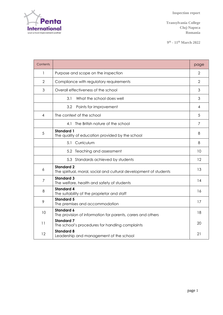

**Transylvania College Cluj-Napoca Romania**

**9 th - 11th March 2022**

| Contents       |                                                                                        | page           |
|----------------|----------------------------------------------------------------------------------------|----------------|
| 1              | Purpose and scope on the inspection                                                    | $\overline{2}$ |
| 2              | Compliance with regulatory requirements                                                | $\overline{2}$ |
| 3              | Overall effectiveness of the school                                                    | 3              |
|                | 3.1<br>What the school does well                                                       | 3              |
|                | 3.2<br>Points for improvement                                                          | 4              |
| 4              | The context of the school                                                              | 5              |
|                | 4.1 The British nature of the school                                                   | 7              |
| 5              | <b>Standard 1</b><br>The quality of education provided by the school                   | 8              |
|                | Curriculum<br>5.1                                                                      | 8              |
|                | 5.2 Teaching and assessment                                                            | 10             |
|                | 5.3 Standards achieved by students                                                     | 12             |
| 6              | <b>Standard 2</b><br>The spiritual, moral, social and cultural development of students | 13             |
| $\overline{7}$ | <b>Standard 3</b><br>The welfare, health and safety of students                        | 14             |
| 8              | <b>Standard 4</b><br>The suitability of the proprietor and staff                       | 16             |
| 9              | <b>Standard 5</b><br>The premises and accommodation                                    | 17             |
| 10             | <b>Standard 6</b><br>The provision of information for parents, carers and others       | 18             |
| 11             | <b>Standard 7</b><br>The school's procedures for handling complaints                   | 20             |
| 12             | <b>Standard 8</b><br>Leadership and management of the school                           | 21             |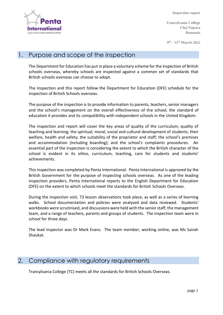

**Transylvania College Cluj-Napoca Romania**

**9 th - 11th March 2022**

#### 1. Purpose and scope of the inspection

The Department for Education has put in place a voluntary scheme for the inspection of British schools overseas, whereby schools are inspected against a common set of standards that British schools overseas can choose to adopt.

The inspection and this report follow the Department for Education (DFE) schedule for the inspection of British Schools overseas.

The purpose of the inspection is to provide information to parents, teachers, senior managers and the school's management on the overall effectiveness of the school, the standard of education it provides and its compatibility with independent schools in the United Kingdom.

The inspection and report will cover the key areas of quality of the curriculum; quality of teaching and learning; the spiritual, moral, social and cultural development of students; their welfare, health and safety; the suitability of the proprietor and staff; the school's premises and accommodation (including boarding); and the school's complaints procedures. An essential part of the inspection is considering the extent to which the British character of the school is evident in its ethos, curriculum, teaching, care for students and students' achievements.

This inspection was completed by Penta International. Penta International is approved by the British Government for the purpose of inspecting schools overseas. As one of the leading inspection providers, Penta International reports to the English Department for Education (DFE) on the extent to which schools meet the standards for British Schools Overseas.

During the inspection visit, 73 lesson observations took place, as well as a series of learning walks. School documentation and policies were analysed and data reviewed. Students' workbooks were scrutinised, and discussions were held with the senior staff, the management team, and a range of teachers, parents and groups of students. The inspection team were in school for three days.

The lead inspector was Dr Mark Evans. The team member, working online, was Ms Sairah Shaukat.

# 2. Compliance with regulatory requirements

Transylvania College (TC) meets all the standards for British Schools Overseas.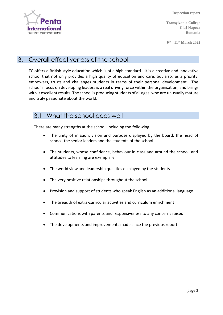

**Transylvania College Cluj-Napoca Romania**

**9 th - 11th March 2022**

### 3. Overall effectiveness of the school

TC offers a British style education which is of a high standard. It is a creative and innovative school that not only provides a high quality of education and care, but also, as a priority, empowers, trusts and challenges students in terms of their personal development. The school's focus on developing leaders is a real driving force within the organisation, and brings with it excellent results. The school is producing students of all ages, who are unusually mature and truly passionate about the world.

#### 3.1 What the school does well

There are many strengths at the school, including the following:

- The unity of mission, vision and purpose displayed by the board, the head of school, the senior leaders and the students of the school
- The students, whose confidence, behaviour in class and around the school, and attitudes to learning are exemplary
- The world view and leadership qualities displayed by the students
- The very positive relationships throughout the school
- Provision and support of students who speak English as an additional language
- The breadth of extra-curricular activities and curriculum enrichment
- Communications with parents and responsiveness to any concerns raised
- The developments and improvements made since the previous report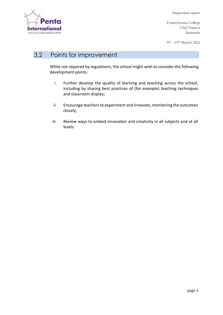

**Transylvania College Cluj-Napoca Romania**

**9 th - 11th March 2022**

#### 3.2 Points for improvement

While not required by regulations, the school might wish to consider the following development points:

- i. Further develop the quality of learning and teaching across the school, including by sharing best practices of (for example) teaching techniques and classroom display;
- ii. Encourage teachers to experiment and innovate, monitoring the outcomes closely;
- iii. Review ways to embed innovation and creativity in all subjects and at all levels.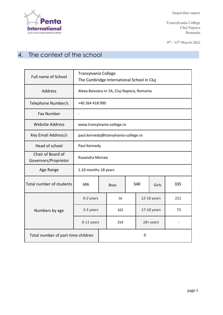

**Transylvania College Cluj-Napoca Romania**

**9 th - 11th March 2022**

# 4. The context of the school

| <b>Full name of School</b>                | Transylvania College<br>The Cambridge International School in Cluj |  |             |  |     |             |     |
|-------------------------------------------|--------------------------------------------------------------------|--|-------------|--|-----|-------------|-----|
| Address                                   | Aleea Baisoara nr 2A, Cluj-Napoca, Romania                         |  |             |  |     |             |     |
| Telephone Number/s                        | +40 264 418 990                                                    |  |             |  |     |             |     |
| <b>Fax Number</b>                         |                                                                    |  |             |  |     |             |     |
| <b>Website Address</b>                    | www.transylvania-college.ro                                        |  |             |  |     |             |     |
| Key Email Address/s                       | paul.kennedy@transylvania-college.ro                               |  |             |  |     |             |     |
| Head of school                            | Paul Kennedy                                                       |  |             |  |     |             |     |
| Chair of Board of<br>Governors/Proprietor | <b>Ruxandra Mercea</b>                                             |  |             |  |     |             |     |
| Age Range                                 | 1.10 months-18 years                                               |  |             |  |     |             |     |
| Total number of students                  | 686                                                                |  | <b>Boys</b> |  | 348 | Girls       | 335 |
|                                           | 0-2 years                                                          |  | 36          |  |     | 12-16 years | 221 |
| Numbers by age                            | 3-5 years                                                          |  | 102         |  |     | 17-18 years | 73  |
|                                           | 6-11 years                                                         |  | 254         |  |     | 18+ years   |     |
| Total number of part-time children        |                                                                    |  | 0           |  |     |             |     |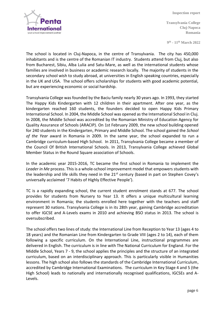

**Transylvania College Cluj-Napoca Romania**

**9 th - 11th March 2022**

The school is located in Cluj-Napoca, in the centre of Transylvania. The city has 450,000 inhabitants and is the centre of the Romanian IT industry. Students attend from Cluj, but also from Bucharest, Sibiu, Alba Lulia and Satu-Mare, as well as the international students whose families are involved in business or academic research locally. The majority of students in the secondary school wish to study abroad, at universities in English speaking countries, especially in the UK and USA. The school offers scholarships for students with good academic potential, but are experiencing economic or social hardship.

Transylvania College was founded by the Baciu family nearly 30 years ago. In 1993, they started The Happy Kids Kindergarten with 12 children in their apartment. After one year, as the kindergarten reached 160 students, the founders decided to open Happy Kids Primary International School. In 2004, the Middle School was opened as the International School in Cluj. In 2008, the Middle School was accredited by the Romanian Ministry of Education Agency for Quality Assurance of Schools (ARACIP). On 1st February 2009, the new school building opened for 240 students in the Kindergarten, Primary and Middle School. The school gained the *School of the Year* award in Romania in 2009. In the same year, the school expanded to run a Cambridge curriculum-based High School. In 2011, Transylvania College became a member of the Council Of British International Schools. In 2013, Transylvania College achieved Global Member Status in the Round Square association of Schools.

In the academic year 2015-2016, TC became the first school in Romania to implement the *Leader in Me* process. This is a whole-school improvement model that empowers students with the leadership and life skills they need in the  $21<sup>st</sup>$  century (based in part on Stephen Covey's universally acclaimed '7 Habits of Highly Effective People').

TC is a rapidly expanding school, the current student enrolment stands at 677. The school provides for students from Nursery to Year 13. It offers a unique multicultural learning environment in Romania; the students enrolled here together with the teachers and staff represent 30 nations. Transylvania College is in its 28th year, gaining Cambridge accreditation to offer IGCSE and A-Levels exams in 2010 and achieving BSO status in 2013. The school is oversubscribed.

The school offers two lines of study: the International Line from Reception to Year 13 (ages 4 to 18 years) and the Romanian Line from Kindergarten to Grade VIII (ages 2 to 14), each of them following a specific curriculum. On the International Line, instructional programmes are delivered in English. The curriculum is in line with The National Curriculum for England. For the Middle School, Years 7 - 9, the school applies the principles and the structure of an integrated curriculum, based on an interdisciplinary approach. This is particularly visible in Humanities lessons. The high school also follows the standards of the Cambridge International Curriculum, accredited by Cambridge International Examinations. The curriculum in Key Stage 4 and 5 (the High School) leads to nationally and internationally recognised qualifications, IGCSEs and A-Levels.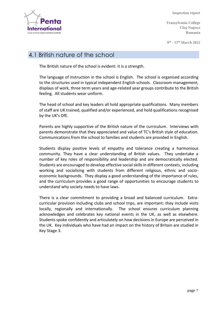

**Transylvania College Cluj-Napoca Romania**

**9 th - 11th March 2022**

#### 4.1 British nature of the school

The British nature of the school is evident: it is a strength.

The language of instruction in the school is English. The school is organised according to the structures used in typical independent English schools. Classroom management, displays of work, three term years and age-related year groups contribute to the British feeling. All students wear uniform.

The head of school and key leaders all hold appropriate qualifications. Many members of staff are UK trained, qualified and/or experienced, and hold qualifications recognised by the UK's DfE.

Parents are highly supportive of the British nature of the curriculum. Interviews with parents demonstrate that they appreciated and value of TC's British style of education. Communications from the school to families and students are provided in English.

Students display positive levels of empathy and tolerance creating a harmonious community. They have a clear understanding of British values. They undertake a number of key roles of responsibility and leadership and are democratically elected. Students are encouraged to develop effective social skills in different contexts, including working and socialising with students from different religious, ethnic and socioeconomic backgrounds. They display a good understanding of the importance of rules, and the curriculum provides a good range of opportunities to encourage students to understand why society needs to have laws.

There is a clear commitment to providing a broad and balanced curriculum. Extracurricular provision including clubs and school trips, are important: they include visits locally, regionally and internationally. The school ensures curriculum planning acknowledges and celebrates key national events in the UK, as well as elsewhere. Students spoke confidently and articulately on how decisions in Europe are perceived in the UK. Key individuals who have had an impact on the history of Britain are studied in Key Stage 3.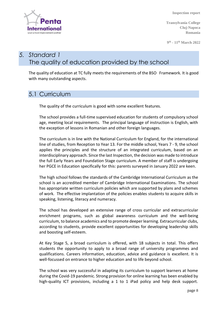

**Transylvania College Cluj-Napoca Romania**

**9 th - 11th March 2022**

# *5. Standard 1* The quality of education provided by the school

The quality of education at TC fully meets the requirements of the BSO Framework. It is good with many outstanding aspects.

#### 5.1 Curriculum

The quality of the curriculum is good with some excellent features.

The school provides a full-time supervised education for students of compulsory school age, meeting local requirements. The principal language of instruction is English, with the exception of lessons in Romanian and other foreign languages.

The curriculum is in line with the National Curriculum for England, for the international line of studies, from Reception to Year 13. For the middle school, Years 7 - 9, the school applies the principles and the structure of an integrated curriculum, based on an interdisciplinary approach. Since the last Inspection, the decision was made to introduce the full Early Years and Foundation Stage curriculum. A member of staff is undergoing her PGCE in Education specifically for this: parents surveyed in January 2022 are keen.

The high school follows the standards of the Cambridge International Curriculum as the school is an accredited member of Cambridge International Examinations. The school has appropriate written curriculum policies which are supported by plans and schemes of work. The effective implantation of the policies enables students to acquire skills in speaking, listening, literacy and numeracy.

The school has developed an extensive range of cross curricular and extracurricular enrichment programs, such as global awareness curriculum and the well-being curriculum, to balance academics and to promote deeperlearning. Extracurricular clubs, according to students, provide excellent opportunities for developing leadership skills and boosting self-esteem.

At Key Stage 5, a broad curriculum is offered, with 18 subjects in total. This offers students the opportunity to apply to a broad range of university programmes and qualifications. Careers information, education, advice and guidance is excellent. It is well-focussed on entrance to higher education and to life beyond school.

The school was very successful in adapting its curriculum to support learners at home during the Covid-19 pandemic. Strong provision for online learning has been enabled by high-quality ICT provisions, including a 1 to 1 iPad policy and help desk support.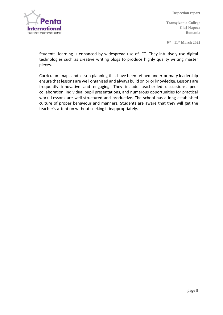

**Transylvania College Cluj-Napoca Romania**

**9 th - 11th March 2022**

Students' learning is enhanced by widespread use of ICT. They intuitively use digital technologies such as creative writing blogs to produce highly quality writing master pieces.

Curriculum maps and lesson planning that have been refined under primary leadership ensure that lessons are well organised and always build on prior knowledge. Lessons are frequently innovative and engaging. They include teacher-led discussions, peer collaboration, individual pupil presentations, and numerous opportunities for practical work. Lessons are well-structured and productive. The school has a long-established culture of proper behaviour and manners. Students are aware that they will get the teacher's attention without seeking it inappropriately.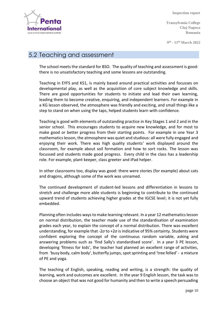

**Transylvania College Cluj-Napoca Romania**

**9 th - 11th March 2022**

#### 5.2 Teaching and assessment

The school meets the standard for BSO. The quality of teaching and assessment is good: there is no unsatisfactory teaching and some lessons are outstanding.

Teaching in EYFS and KS1, is mainly based around practical activities and focusses on developmental play, as well as the acquisition of core subject knowledge and skills. There are good opportunities for students to initiate and lead their own learning, leading them to become creative, enquiring, and independent learners. For example in a KG lesson observed, the atmosphere was friendly and exciting, and small things like a step to stand on when using the taps, helped students learn with confidence.

Teaching is good with elements of outstanding practice in Key Stages 1 and 2 and in the senior school. This encourages students to acquire new knowledge, and for most to make good or better progress from their starting points. For example in one Year 3 mathematics lesson, the atmosphere was quiet and studious: all were fully engaged and enjoying their work. There was high quality students' work displayed around the classroom, for example about soil formation and how to sort rocks. The lesson was focussed and students made good progress. Every child in the class has a leadership role. For example, plant keeper, class greeter and iPad helper.

In other classrooms too, display was good: there were stories (for example) about cats and dragons, although some of the work was unnamed.

The continued development of student-led lessons and differentiation in lessons to stretch and challenge more able students is beginning to contribute to the continued upward trend of students achieving higher grades at the IGCSE level; it is not yet fully embedded.

Planning often includes ways to make learning relevant. In a year 12 mathematics lesson on normal distribution, the teacher made use of the standardisation of examination grades each year, to explain the concept of a normal distribution. There was excellent understanding, for example that -2*σ* to +2*σ* is indicative of 95% certainty. Students were confident exploring the concept of the continuous random variable, asking and answering problems such as 'find Sally's standardised score'. In a year 3 PE lesson, developing 'fitness for kids', the teacher had planned an excellent range of activities, from 'busy body, calm body', butterfly jumps, spot sprinting and 'tree felled' - a mixture of PE and yoga.

The teaching of English, speaking, reading and writing, is a strength: the quality of learning, work and outcomes are excellent. In the year 9 English lesson, the task was to choose an object that was not good for humanity and then to write a speech persuading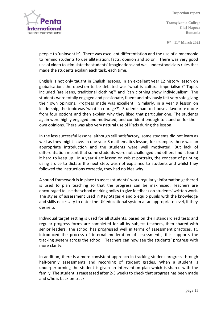

**Transylvania College Cluj-Napoca Romania**

**9 th - 11th March 2022**

people to 'uninvent it'. There was excellent differentiation and the use of a mnemonic to remind students to use alliteration, facts, opinion and so on. There was very good use of video to stimulate the students' imaginations and well understood class rules that made the students explain each task, each time.

English is not only taught in English lessons. In an excellent year 12 history lesson on globalisation, the question to be debated was 'what is cultural imperialism?' Topics included 'are jeans, traditional clothing?' and 'can clothing show individualism'. The students were totally engaged and passionate, fluent and obviously felt very safe giving their own opinions. Progress made was excellent. Similarly, in a year 9 lesson on leadership, the topic was 'what is courage?'. Students had to choose a favourite quote from four options and then explain why they liked that particular one. The students again were highly engaged and motivated, and confident enough to stand on for their own opinions. There was also very natural use of iPads during the lesson.

In the less successful lessons, although still satisfactory, some students did not learn as well as they might have. In one year 8 mathematics lesson, for example, there was an appropriate introduction and the students were well motivated. But lack of differentiation meant that some students were not challenged and others find it found it hard to keep up. In a year 4 art lesson on cubist portraits, the concept of painting using a dice to dictate the next step, was not explained to students and whilst they followed the instructions correctly, they had no idea why.

A sound framework is in place to assess students' work regularly; information gathered is used to plan teaching so that the progress can be maximised. Teachers are encouraged to use the school marking policy to give feedback on students' written work. The styles of assessment used in Key Stages 4 and 5 equip pupils with the knowledge and skills necessary to enter the UK educational system at an appropriate level, if they desire to.

Individual target setting is used for all students, based on their standardised tests and regular progress forms are completed for all by subject teachers, then shared with senior leaders. The school has progressed well in terms of assessment practices. TC introduced the process of internal moderation of assessments; this supports the tracking system across the school. Teachers can now see the students' progress with more clarity.

In addition, there is a more consistent approach in tracking student progress through half-termly assessments and recording of student grades. When a student is underperforming the student is given an intervention plan which is shared with the family. The student is reassessed after 2-3 weeks to check that progress has been made and s/he is back on track.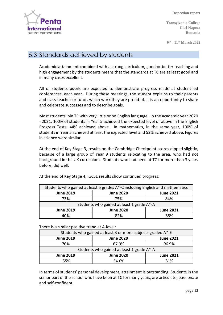nternatio your school improvement partne

**Inspection report**

**Transylvania College Cluj-Napoca Romania**

**9 th - 11th March 2022**

## 5.3 Standards achieved by students

Academic attainment combined with a strong curriculum, good or better teaching and high engagement by the students means that the standards at TC are at least good and in many cases excellent.

All of students pupils are expected to demonstrate progress made at student-led conferences, each year. During these meetings, the student explains to their parents and class teacher or tutor, which work they are proud of. It is an opportunity to share and celebrate successes and to describe goals.

Most students join TC with very little or no English language. In the academic year 2020 - 2021, 100% of students in Year 5 achieved the expected level or above in the English Progress Tests; 44% achieved above. In mathematics, in the same year, 100% of studentsin Year 5 achieved at least the expected level and 52% achieved above. Figures in science were similar.

At the end of Key Stage 3, results on the Cambridge Checkpoint scores dipped slightly, because of a large group of Year 9 students relocating to the area, who had not background in the UK curriculum. Students who had been at TC for more than 3 years before, did well.

| Students who gained at least 5 grades A*-C including English and mathematics |                  |                  |  |  |  |  |
|------------------------------------------------------------------------------|------------------|------------------|--|--|--|--|
| <b>June 2019</b>                                                             | <b>June 2020</b> | <b>June 2021</b> |  |  |  |  |
| 73%                                                                          | 75%              | 84%              |  |  |  |  |
| Students who gained at least 1 grade A*-A                                    |                  |                  |  |  |  |  |
| <b>June 2019</b>                                                             | <b>June 2020</b> | <b>June 2021</b> |  |  |  |  |
| 4በ%                                                                          | 82%              | 88%              |  |  |  |  |

At the end of Key Stage 4, iGCSE results show continued progress:

#### There is a similar positive trend at A-level:

| Students who gained at least 3 or more subjects graded A*-E |                  |                  |  |  |  |  |  |
|-------------------------------------------------------------|------------------|------------------|--|--|--|--|--|
| <b>June 2019</b>                                            | <b>June 2020</b> | <b>June 2021</b> |  |  |  |  |  |
| 70%                                                         | 67.9%            | 96.9%            |  |  |  |  |  |
| Students who gained at least 1 grade A*-A                   |                  |                  |  |  |  |  |  |
| <b>June 2019</b>                                            | <b>June 2020</b> | <b>June 2021</b> |  |  |  |  |  |
| 55%                                                         | 54.6%            | 81%              |  |  |  |  |  |

In terms of students' personal development, attainment is outstanding. Students in the senior part of the school who have been at TC for many years, are articulate, passionate and self-confident.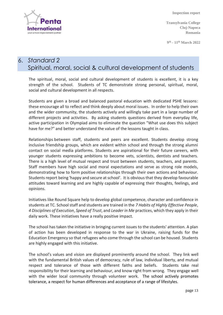

**Transylvania College Cluj-Napoca Romania**

**9 th - 11th March 2022**

# 6. *Standard 2* Spiritual, moral, social & cultural development of students

The spiritual, moral, social and cultural development of students is excellent, it is a key strength of the school. Students of TC demonstrate strong personal, spiritual, moral, social and cultural development in all respects.

Students are given a broad and balanced pastoral education with dedicated PSHE lessons: these encourage all to reflect and think deeply about moral issues. In order to help their own and the wider community, the students actively and willingly take part in a large number of different projects and activities. By asking students questions derived from everyday life, active participation in Olympiad aims to eliminate the question "What use does this subject have for me?" and better understand the value of the lessons taught in class.

Relationships between staff, students and peers are excellent. Students develop strong inclusive friendship groups, which are evident within school and through the strong alumni contact on social media platforms. Students are aspirational for their future careers, with younger students expressing ambitions to become vets, scientists, dentists and teachers. There is a high level of mutual respect and trust between students, teachers, and parents. Staff members have high social and moral expectations and serve as strong role models, demonstrating how to form positive relationships through their own actions and behaviour. Students report being 'happy and secure at school'. It is obvious that they develop favourable attitudes toward learning and are highly capable of expressing their thoughts, feelings, and opinions.

Initiatives like Round Square help to develop global competence, character and confidence in students at TC. School staff and students are trained in the *7 Habits of Highly Effective People*, *4 Disciplines of Execution*, *Speed of Trust*, and *Leader in Me* practices, which they apply in their daily work. These initiatives have a really positive impact.

The school has taken the initiative in bringing current issues to the students' attention. A plan of action has been developed in response to the war in Ukraine, raising funds for the Education Emergency so that refugees who come through the school can be housed. Students are highly engaged with this initiative.

The school's values and vision are displayed prominently around the school. They link well with the fundamental British values of democracy, rule of law, individual liberty, and mutual respect and tolerance of those with different faiths and beliefs. Students take real responsibility for their learning and behaviour, and know right from wrong. They engage well with the wider local community through volunteer work. The school actively promotes tolerance, a respect for human differences and acceptance of a range of lifestyles.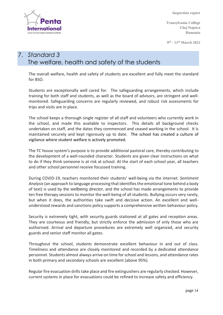Internati your school improvement partne

**Inspection report**

**Transylvania College Cluj-Napoca Romania**

**9 th - 11th March 2022**

# 7. *Standard 3* The welfare, health and safety of the students

The overall welfare, health and safety of students are excellent and fully meet the standard for BSO.

Students are exceptionally well cared for. The safeguarding arrangements, which include training for both staff and students, as well as the board of advisors, are stringent and wellmonitored. Safeguarding concerns are regularly reviewed, and robust risk assessments for trips and visits are in place.

The school keeps a thorough single register of all staff and volunteers who currently work in the school, and made this available to inspectors. This details all background checks undertaken on staff, and the dates they commenced and ceased working in the school. It is maintained securely and kept rigorously up to date. The school has created a culture of vigilance where student welfare is actively promoted.

The TC house system's purpose is to provide additional pastoral care, thereby contributing to the development of a well-rounded character. Students are given clear instructions on what to do if they think someone is at risk at school. At the start of each school year, all teachers and other school personnel receive focussed training.

During COVID-19, teachers monitored their students' well-being via the internet. *Sentiment Analysis*(an approach to language processing that identifies the emotional tone behind a body of text) is used by the wellbeing director, and the school has made arrangements to provide ten free therapy sessions to monitor the well-being of all students. Bullying occurs very rarely, but when it does, the authorities take swift and decisive action. An excellent and wellunderstood rewards and sanctions policy supports a comprehensive written behaviour policy.

Security is extremely tight, with security guards stationed at all gates and reception areas. They are courteous and friendly, but strictly enforce the admission of only those who are authorised. Arrival and departure procedures are extremely well organized, and security guards and senior staff monitor all gates.

Throughout the school, students demonstrate excellent behaviour in and out of class. Timeliness and attendance are closely monitored and recorded by a dedicated attendance personnel. Students almost always arrive on time for school and lessons, and attendance rates in both primary and secondary schools are excellent (above 95%).

Regular fire evacuation drills take place and fire extinguishers are regularly checked. However, current systems in place for evacuations could be refined to increase safety and efficiency.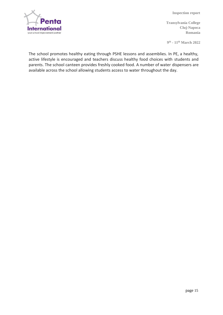

**Transylvania College Cluj-Napoca Romania**

**9 th - 11th March 2022**

The school promotes healthy eating through PSHE lessons and assemblies. In PE, a healthy, active lifestyle is encouraged and teachers discuss healthy food choices with students and parents. The school canteen provides freshly cooked food. A number of water dispensers are available across the school allowing students access to water throughout the day.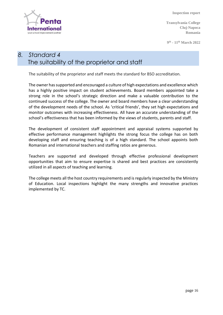

**Transylvania College Cluj-Napoca Romania**

**9 th - 11th March 2022**

## *8. Standard 4* The suitability of the proprietor and staff

The suitability of the proprietor and staff meets the standard for BSO accreditation.

The owner has supported and encouraged a culture of high expectations and excellence which has a highly positive impact on student achievements. Board members appointed take a strong role in the school's strategic direction and make a valuable contribution to the continued success of the college. The owner and board members have a clear understanding of the development needs of the school. As 'critical friends', they set high expectations and monitor outcomes with increasing effectiveness. All have an accurate understanding of the school's effectiveness that has been informed by the views of students, parents and staff.

The development of consistent staff appointment and appraisal systems supported by effective performance management highlights the strong focus the college has on both developing staff and ensuring teaching is of a high standard. The school appoints both Romanian and international teachers and staffing ratios are generous.

Teachers are supported and developed through effective professional development opportunities that aim to ensure expertise is shared and best practices are consistently utilized in all aspects of teaching and learning.

The college meets all the host country requirements and is regularly inspected by the Ministry of Education. Local inspections highlight the many strengths and innovative practices implemented by TC.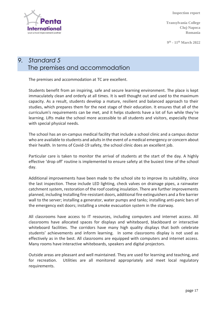

**Transylvania College Cluj-Napoca Romania**

**9 th - 11th March 2022**

# *9. Standard 5* The premises and accommodation

The premises and accommodation at TC are excellent.

Students benefit from an inspiring, safe and secure learning environment. The place is kept immaculately clean and orderly at all times. It is well thought out and used to the maximum capacity. As a result, students develop a mature, resilient and balanced approach to their studies, which prepares them for the next stage of their education. It ensures that all of the curriculum's requirements can be met, and it helps students have a lot of fun while they're learning. Lifts make the school more accessible to all students and visitors, especially those with special physical needs.

The school has an on-campus medical facility that include a school clinic and a campus doctor who are available to students and adults in the event of a medical emergency or concern about their health. In terms of Covid-19 safety, the school clinic does an excellent job.

Particular care is taken to monitor the arrival of students at the start of the day. A highly effective 'drop off' routine is implemented to ensure safety at the busiest time of the school day.

Additional improvements have been made to the school site to improve its suitability, since the last inspection. These include LED lighting, check valves on drainage pipes, a rainwater catchment system, restoration of the roof coating insulation. There are further improvements planned, including Installing fire-resistant doors, additional fire extinguishers and a fire barrier wall to the server; installing a generator, water pumps and tanks; installing anti-panic bars of the emergency exit doors; installing a smoke evacuation system in the stairway.

All classrooms have access to IT resources, including computers and internet access. All classrooms have allocated spaces for displays and whiteboard, blackboard or interactive whiteboard facilities. The corridors have many high quality displays that both celebrate students' achievements and inform learning. In some classrooms display is not used as effectively as in the best. All classrooms are equipped with computers and internet access. Many rooms have interactive whiteboards, speakers and digital projectors.

Outside areas are pleasant and well maintained. They are used for learning and teaching, and for recreation. Utilities are all monitored appropriately and meet local regulatory requirements.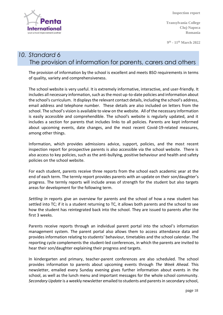

**Transylvania College Cluj-Napoca Romania**

**9 th - 11th March 2022**

# *10. Standard 6* The provision of information for parents, carers and others

The provision of information by the school is excellent and meets BSO requirements in terms of quality, variety and comprehensiveness.

The school website is very useful. It is extremely informative, interactive, and user-friendly. It includes all necessary information, such as the most up-to-date policies and information about the school's curriculum. It displays the relevant contact details, including the school's address, email address and telephone number. These details are also included on letters from the school. The school's vision is available to view on the website. All of the necessary information is easily accessible and comprehendible. The school's website is regularly updated, and it includes a section for parents that includes links to all policies. Parents are kept informed about upcoming events, date changes, and the most recent Covid-19-related measures, among other things.

Information, which provides admissions advice, support, policies, and the most recent inspection report for prospective parents is also accessible via the school website. There is also access to key policies, such as the anti-bullying, positive behaviour and health and safety policies on the school website.

For each student, parents receive three reports from the school each academic year at the end of each term. The termly report provides parents with an update on their son/daughter's progress. The termly reports will include areas of strength for the student but also targets areas for development for the following term.

*Settling In* reports give an overview for parents and the school of how a new student has settled into TC; if it is a student returning to TC, it allows both parents and the school to see how the student has reintegrated back into the school. They are issued to parents after the first 3 weeks.

Parents receive reports through an individual parent portal into the school's information management system. The parent portal also allows them to access attendance data and provides information relating to students' behaviour, timetables and the school calendar. The reporting cycle complements the student-led conferences, in which the parents are invited to hear their son/daughter explaining their progress and targets.

In kindergarten and primary, teacher-parent conferences are also scheduled. The school provides information to parents about upcoming events through *The Week Ahead*. This newsletter, emailed every Sunday evening gives further information about events in the school, as well as the lunch menu and important messages for the whole school community. *Secondary Update* is a weekly newsletter emailed to students and parents in secondary school,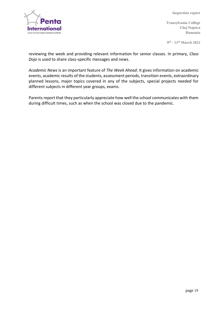

**Transylvania College Cluj-Napoca Romania**

**9 th - 11th March 2022**

reviewing the week and providing relevant information for senior classes. In primary, *Class Dojo* is used to share class-specific messages and news.

*Academic News* is an important feature of *The Week Ahead*. It gives information on academic events, academic results of the students, assessment periods, transition events, extraordinary planned lessons, major topics covered in any of the subjects, special projects needed for different subjects in different year groups, exams.

Parents report that they particularly appreciate how well the school communicates with them during difficult times, such as when the school was closed due to the pandemic.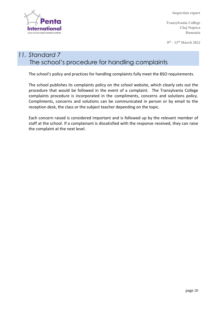

**Transylvania College Cluj-Napoca Romania**

**9 th - 11th March 2022**

# *11. Standard 7* The school's procedure for handling complaints

The school's policy and practices for handling complaints fully meet the BSO requirements.

The school publishes its complaints policy on the school website, which clearly sets out the procedure that would be followed in the event of a complaint. The Transylvania College complaints procedure is incorporated in the compliments, concerns and solutions policy. Compliments, concerns and solutions can be communicated in person or by email to the reception desk, the class or the subject teacher depending on the topic.

Each concern raised is considered important and is followed up by the relevant member of staff at the school. If a complainant is dissatisfied with the response received, they can raise the complaint at the next level.